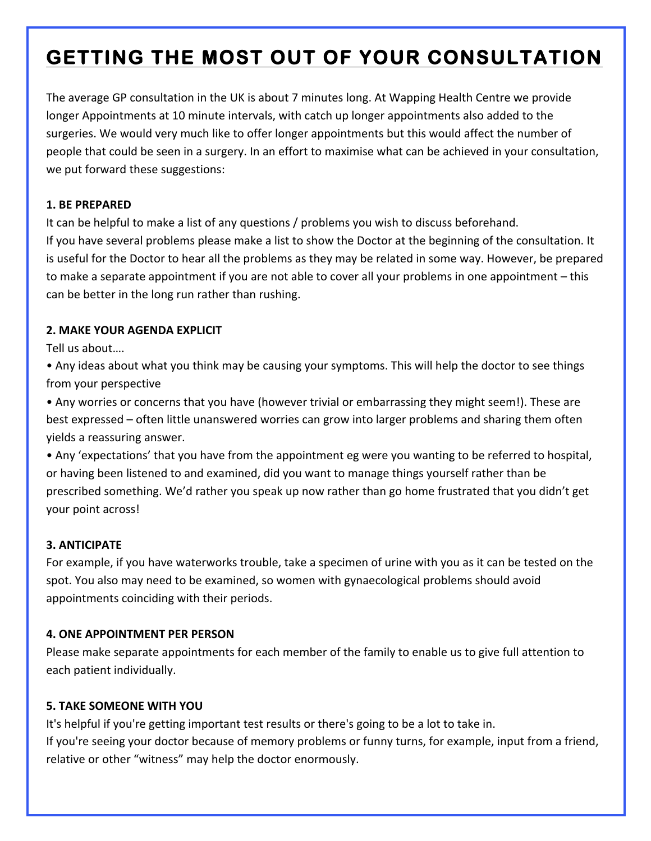# **GETTING THE MOST OUT OF YOUR CONSULTATION**

The average GP consultation in the UK is about 7 minutes long. At Wapping Health Centre we provide longer Appointments at 10 minute intervals, with catch up longer appointments also added to the surgeries. We would very much like to offer longer appointments but this would affect the number of people that could be seen in a surgery. In an effort to maximise what can be achieved in your consultation, we put forward these suggestions:

#### **1. BE PREPARED**

It can be helpful to make a list of any questions / problems you wish to discuss beforehand.

If you have several problems please make a list to show the Doctor at the beginning of the consultation. It is useful for the Doctor to hear all the problems as they may be related in some way. However, be prepared to make a separate appointment if you are not able to cover all your problems in one appointment – this can be better in the long run rather than rushing.

## **2. MAKE YOUR AGENDA EXPLICIT**

Tell us about....

• Any ideas about what you think may be causing your symptoms. This will help the doctor to see things from your perspective

• Any worries or concerns that you have (however trivial or embarrassing they might seem!). These are best expressed – often little unanswered worries can grow into larger problems and sharing them often yields a reassuring answer.

• Any 'expectations' that you have from the appointment eg were you wanting to be referred to hospital, or having been listened to and examined, did you want to manage things yourself rather than be prescribed something. We'd rather you speak up now rather than go home frustrated that you didn't get your point across!

## **3. ANTICIPATE**

For example, if you have waterworks trouble, take a specimen of urine with you as it can be tested on the spot. You also may need to be examined, so women with gynaecological problems should avoid appointments coinciding with their periods.

## **4. ONE APPOINTMENT PER PERSON**

Please make separate appointments for each member of the family to enable us to give full attention to each patient individually.

## **5. TAKE SOMEONE WITH YOU**

It's helpful if you're getting important test results or there's going to be a lot to take in. If you're seeing your doctor because of memory problems or funny turns, for example, input from a friend, relative or other "witness" may help the doctor enormously.